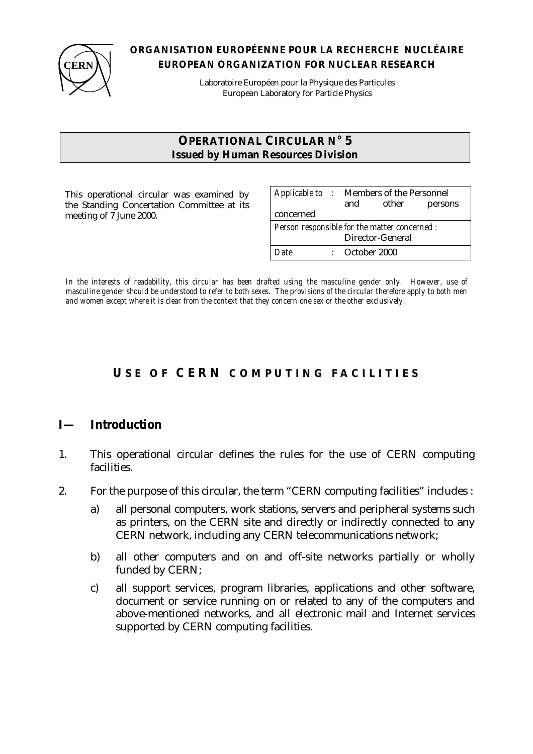

#### **ORGANISATION EUROPÉENNE POUR LA RECHERCHE NUCLÉAIRE EUROPEAN ORGANIZATION FOR NUCLEAR RESEARCH**

Laboratoire Européen pour la Physique des Particules European Laboratory for Particle Physics

#### **OPERATIONAL CIRCULAR N° 5 Issued by Human Resources Division**

This operational circular was examined by the Standing Concertation Committee at its meeting of 7 June 2000.

| Applicable to : Members of the Personnel      | and                       | other | persons |
|-----------------------------------------------|---------------------------|-------|---------|
| concerned                                     |                           |       |         |
| Person responsible for the matter concerned : |                           |       |         |
| Director-General                              |                           |       |         |
| Date                                          | $\therefore$ October 2000 |       |         |

*In the interests of readability, this circular has been drafted using the masculine gender only. However, use of masculine gender should be understood to refer to both sexes. The provisions of the circular therefore apply to both men and women except where it is clear from the context that they concern one sex or the other exclusively.*

# **U SE OF CERN COMPUTING FACILITIES**

## **I— Introduction**

- 1. This operational circular defines the rules for the use of CERN computing facilities.
- 2. For the purpose of this circular, the term "CERN computing facilities" includes :
	- a) all personal computers, work stations, servers and peripheral systems such as printers, on the CERN site and directly or indirectly connected to any CERN network, including any CERN telecommunications network;
	- b) all other computers and on and off-site networks partially or wholly funded by CERN;
	- c) all support services, program libraries, applications and other software, document or service running on or related to any of the computers and above-mentioned networks, and all electronic mail and Internet services supported by CERN computing facilities.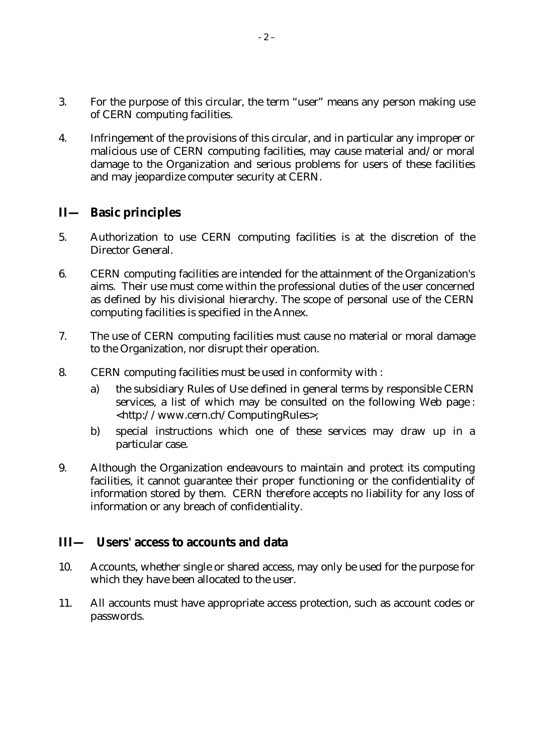- 3. For the purpose of this circular, the term "user" means any person making use of CERN computing facilities.
- 4. Infringement of the provisions of this circular, and in particular any improper or malicious use of CERN computing facilities, may cause material and/or moral damage to the Organization and serious problems for users of these facilities and may jeopardize computer security at CERN.

## **II— Basic principles**

- 5. Authorization to use CERN computing facilities is at the discretion of the Director General.
- 6. CERN computing facilities are intended for the attainment of the Organization's aims. Their use must come within the professional duties of the user concerned as defined by his divisional hierarchy. The scope of personal use of the CERN computing facilities is specified in the Annex.
- 7. The use of CERN computing facilities must cause no material or moral damage to the Organization, nor disrupt their operation.
- 8. CERN computing facilities must be used in conformity with :
	- a) the subsidiary Rules of Use defined in general terms by responsible CERN services, a list of which may be consulted on the following Web page : <http://www.cern.ch/ComputingRules>;
	- b) special instructions which one of these services may draw up in a particular case.
- 9. Although the Organization endeavours to maintain and protect its computing facilities, it cannot guarantee their proper functioning or the confidentiality of information stored by them. CERN therefore accepts no liability for any loss of information or any breach of confidentiality.

## **III— Users' access to accounts and data**

- 10. Accounts, whether single or shared access, may only be used for the purpose for which they have been allocated to the user.
- 11. All accounts must have appropriate access protection, such as account codes or passwords.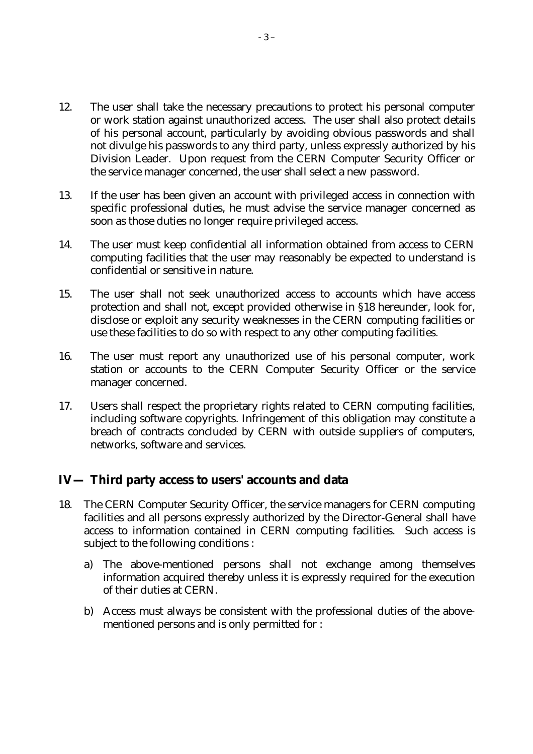- 12. The user shall take the necessary precautions to protect his personal computer or work station against unauthorized access. The user shall also protect details of his personal account, particularly by avoiding obvious passwords and shall not divulge his passwords to any third party, unless expressly authorized by his Division Leader. Upon request from the CERN Computer Security Officer or the service manager concerned, the user shall select a new password.
- 13. If the user has been given an account with privileged access in connection with specific professional duties, he must advise the service manager concerned as soon as those duties no longer require privileged access.
- 14. The user must keep confidential all information obtained from access to CERN computing facilities that the user may reasonably be expected to understand is confidential or sensitive in nature.
- 15. The user shall not seek unauthorized access to accounts which have access protection and shall not, except provided otherwise in §18 hereunder, look for, disclose or exploit any security weaknesses in the CERN computing facilities or use these facilities to do so with respect to any other computing facilities.
- 16. The user must report any unauthorized use of his personal computer, work station or accounts to the CERN Computer Security Officer or the service manager concerned.
- 17. Users shall respect the proprietary rights related to CERN computing facilities, including software copyrights. Infringement of this obligation may constitute a breach of contracts concluded by CERN with outside suppliers of computers, networks, software and services.

## **IV— Third party access to users' accounts and data**

- 18. The CERN Computer Security Officer, the service managers for CERN computing facilities and all persons expressly authorized by the Director-General shall have access to information contained in CERN computing facilities. Such access is subject to the following conditions :
	- a) The above-mentioned persons shall not exchange among themselves information acquired thereby unless it is expressly required for the execution of their duties at CERN.
	- b) Access must always be consistent with the professional duties of the abovementioned persons and is only permitted for :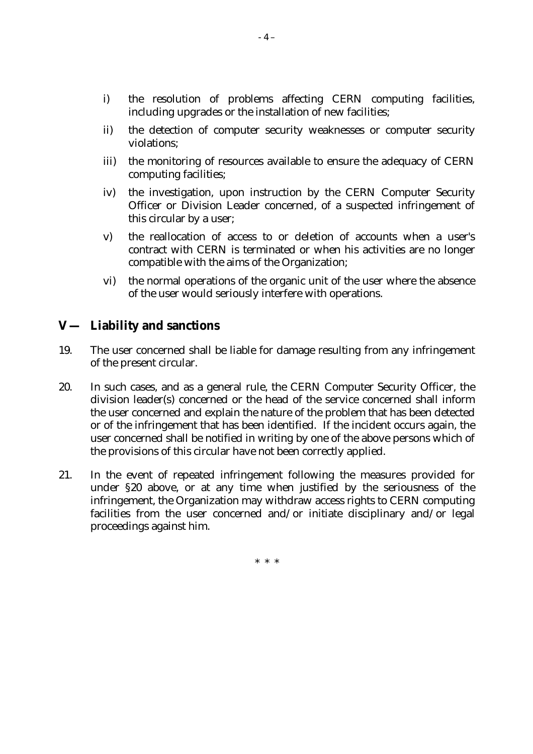- i) the resolution of problems affecting CERN computing facilities, including upgrades or the installation of new facilities;
- ii) the detection of computer security weaknesses or computer security violations;
- iii) the monitoring of resources available to ensure the adequacy of CERN computing facilities;
- iv) the investigation, upon instruction by the CERN Computer Security Officer or Division Leader concerned, of a suspected infringement of this circular by a user;
- v) the reallocation of access to or deletion of accounts when a user's contract with CERN is terminated or when his activities are no longer compatible with the aims of the Organization;
- vi) the normal operations of the organic unit of the user where the absence of the user would seriously interfere with operations.

## **V— Liability and sanctions**

- 19. The user concerned shall be liable for damage resulting from any infringement of the present circular.
- 20. In such cases, and as a general rule, the CERN Computer Security Officer, the division leader(s) concerned or the head of the service concerned shall inform the user concerned and explain the nature of the problem that has been detected or of the infringement that has been identified. If the incident occurs again, the user concerned shall be notified in writing by one of the above persons which of the provisions of this circular have not been correctly applied.
- 21. In the event of repeated infringement following the measures provided for under §20 above, or at any time when justified by the seriousness of the infringement, the Organization may withdraw access rights to CERN computing facilities from the user concerned and/or initiate disciplinary and/or legal proceedings against him.

\* \* \*